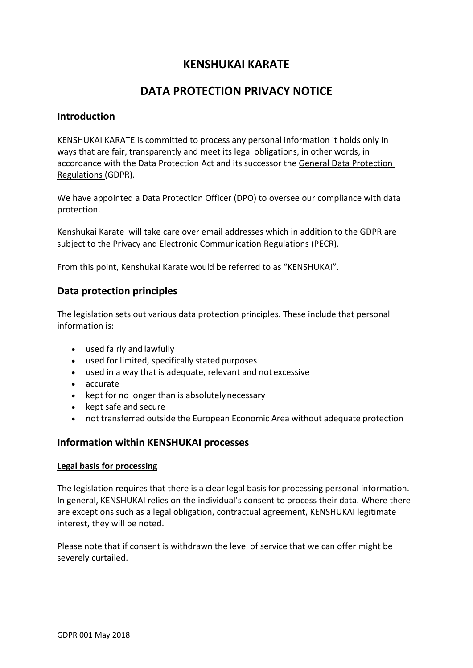# **KENSHUKAI KARATE**

# **DATA PROTECTION PRIVACY NOTICE**

### **Introduction**

KENSHUKAI KARATE is committed to process any personal information it holds only in ways that are fair, transparently and meet its legal obligations, in other words, in accordance with the Data Protection Act and its successor the General Data Protection Regulations (GDPR).

We have appointed a Data Protection Officer (DPO) to oversee our compliance with data protection.

Kenshukai Karate will take care over email addresses which in addition to the GDPR are subject to the Privacy and Electronic Communication Regulations (PECR).

From this point, Kenshukai Karate would be referred to as "KENSHUKAI".

## **Data protection principles**

The legislation sets out various data protection principles. These include that personal information is:

- used fairly and lawfully
- used for limited, specifically stated purposes
- used in a way that is adequate, relevant and not excessive
- accurate
- kept for no longer than is absolutely necessary
- kept safe and secure
- not transferred outside the European Economic Area without adequate protection

### **Information within KENSHUKAI processes**

#### **Legal basis for processing**

The legislation requires that there is a clear legal basis for processing personal information. In general, KENSHUKAI relies on the individual's consent to process their data. Where there are exceptions such as a legal obligation, contractual agreement, KENSHUKAI legitimate interest, they will be noted.

Please note that if consent is withdrawn the level of service that we can offer might be severely curtailed.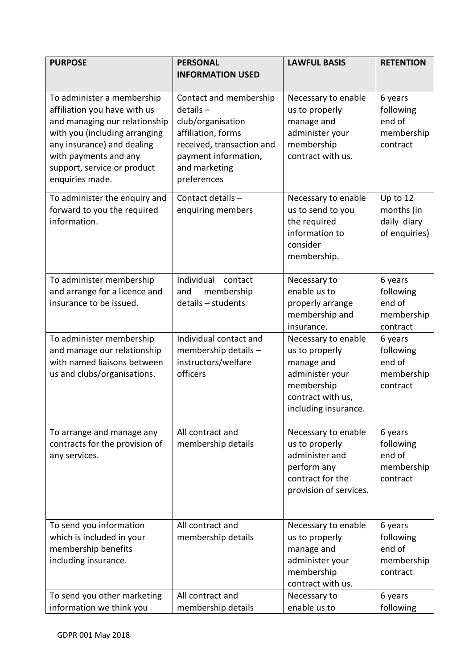| <b>PURPOSE</b>                                                                                                                                                                                                                        | <b>PERSONAL</b><br><b>INFORMATION USED</b>                                                                                                                            | <b>LAWFUL BASIS</b>                                                                                                               | <b>RETENTION</b>                                                    |
|---------------------------------------------------------------------------------------------------------------------------------------------------------------------------------------------------------------------------------------|-----------------------------------------------------------------------------------------------------------------------------------------------------------------------|-----------------------------------------------------------------------------------------------------------------------------------|---------------------------------------------------------------------|
| To administer a membership<br>affiliation you have with us<br>and managing our relationship<br>with you (including arranging<br>any insurance) and dealing<br>with payments and any<br>support, service or product<br>enquiries made. | Contact and membership<br>$details -$<br>club/organisation<br>affiliation, forms<br>received, transaction and<br>payment information,<br>and marketing<br>preferences | Necessary to enable<br>us to properly<br>manage and<br>administer your<br>membership<br>contract with us.                         | 6 years<br>following<br>end of<br>membership<br>contract            |
| To administer the enquiry and<br>forward to you the required<br>information.                                                                                                                                                          | Contact details -<br>enquiring members                                                                                                                                | Necessary to enable<br>us to send to you<br>the required<br>information to<br>consider<br>membership.                             | Up to 12<br>months (in<br>daily diary<br>of enquiries)              |
| To administer membership<br>and arrange for a licence and<br>insurance to be issued.                                                                                                                                                  | Individual<br>contact<br>membership<br>and<br>details - students                                                                                                      | Necessary to<br>enable us to<br>properly arrange<br>membership and<br>insurance.                                                  | 6 years<br>following<br>end of<br>membership<br>contract            |
| To administer membership<br>and manage our relationship<br>with named liaisons between<br>us and clubs/organisations.                                                                                                                 | Individual contact and<br>membership details -<br>instructors/welfare<br>officers                                                                                     | Necessary to enable<br>us to properly<br>manage and<br>administer your<br>membership<br>contract with us,<br>including insurance. | 6 years<br>following<br>end of<br>membership<br>contract            |
| To arrange and manage any<br>contracts for the provision of<br>any services.                                                                                                                                                          | All contract and<br>membership details                                                                                                                                | Necessary to enable<br>us to properly<br>administer and<br>perform any<br>contract for the<br>provision of services.              | 6 years<br>following<br>end of<br>membership<br>contract            |
| To send you information<br>which is included in your<br>membership benefits<br>including insurance.<br>To send you other marketing                                                                                                    | All contract and<br>membership details<br>All contract and                                                                                                            | Necessary to enable<br>us to properly<br>manage and<br>administer your<br>membership<br>contract with us.<br>Necessary to         | 6 years<br>following<br>end of<br>membership<br>contract<br>6 years |
| information we think you                                                                                                                                                                                                              | membership details                                                                                                                                                    | enable us to                                                                                                                      | following                                                           |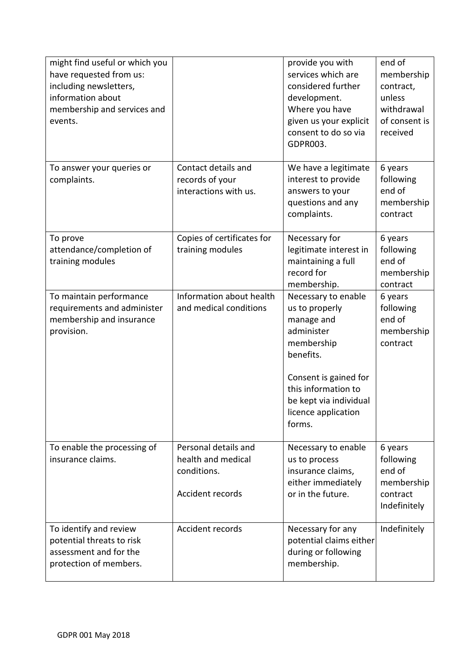| might find useful or which you<br>have requested from us:<br>including newsletters,<br>information about<br>membership and services and<br>events. |                                                                               | provide you with<br>services which are<br>considered further<br>development.<br>Where you have<br>given us your explicit<br>consent to do so via<br>GDPR003.                                            | end of<br>membership<br>contract,<br>unless<br>withdrawal<br>of consent is<br>received |
|----------------------------------------------------------------------------------------------------------------------------------------------------|-------------------------------------------------------------------------------|---------------------------------------------------------------------------------------------------------------------------------------------------------------------------------------------------------|----------------------------------------------------------------------------------------|
| To answer your queries or<br>complaints.                                                                                                           | Contact details and<br>records of your<br>interactions with us.               | We have a legitimate<br>interest to provide<br>answers to your<br>questions and any<br>complaints.                                                                                                      | 6 years<br>following<br>end of<br>membership<br>contract                               |
| To prove<br>attendance/completion of<br>training modules                                                                                           | Copies of certificates for<br>training modules                                | Necessary for<br>legitimate interest in<br>maintaining a full<br>record for<br>membership.                                                                                                              | 6 years<br>following<br>end of<br>membership<br>contract                               |
| To maintain performance<br>requirements and administer<br>membership and insurance<br>provision.                                                   | Information about health<br>and medical conditions                            | Necessary to enable<br>us to properly<br>manage and<br>administer<br>membership<br>benefits.<br>Consent is gained for<br>this information to<br>be kept via individual<br>licence application<br>forms. | 6 years<br>following<br>end of<br>membership<br>contract                               |
| To enable the processing of<br>insurance claims.                                                                                                   | Personal details and<br>health and medical<br>conditions.<br>Accident records | Necessary to enable<br>us to process<br>insurance claims,<br>either immediately<br>or in the future.                                                                                                    | 6 years<br>following<br>end of<br>membership<br>contract<br>Indefinitely               |
| To identify and review<br>potential threats to risk<br>assessment and for the<br>protection of members.                                            | Accident records                                                              | Necessary for any<br>potential claims either<br>during or following<br>membership.                                                                                                                      | Indefinitely                                                                           |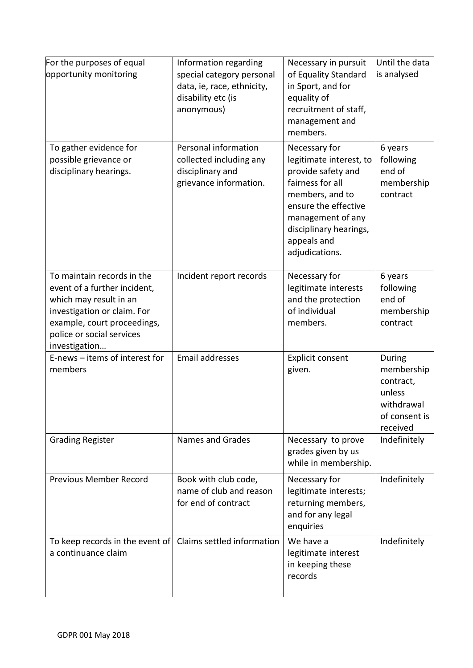| For the purposes of equal<br>opportunity monitoring                                                                                                                                              | Information regarding<br>special category personal<br>data, ie, race, ethnicity,<br>disability etc (is<br>anonymous) | Necessary in pursuit<br>of Equality Standard<br>in Sport, and for<br>equality of<br>recruitment of staff,<br>management and<br>members.                                                                       | Until the data<br>is analysed                                                          |
|--------------------------------------------------------------------------------------------------------------------------------------------------------------------------------------------------|----------------------------------------------------------------------------------------------------------------------|---------------------------------------------------------------------------------------------------------------------------------------------------------------------------------------------------------------|----------------------------------------------------------------------------------------|
| To gather evidence for<br>possible grievance or<br>disciplinary hearings.                                                                                                                        | Personal information<br>collected including any<br>disciplinary and<br>grievance information.                        | Necessary for<br>legitimate interest, to<br>provide safety and<br>fairness for all<br>members, and to<br>ensure the effective<br>management of any<br>disciplinary hearings,<br>appeals and<br>adjudications. | 6 years<br>following<br>end of<br>membership<br>contract                               |
| To maintain records in the<br>event of a further incident,<br>which may result in an<br>investigation or claim. For<br>example, court proceedings,<br>police or social services<br>investigation | Incident report records                                                                                              | Necessary for<br>legitimate interests<br>and the protection<br>of individual<br>members.                                                                                                                      | 6 years<br>following<br>end of<br>membership<br>contract                               |
| E-news - items of interest for<br>members                                                                                                                                                        | Email addresses                                                                                                      | Explicit consent<br>given.                                                                                                                                                                                    | During<br>membership<br>contract,<br>unless<br>withdrawal<br>of consent is<br>received |
| <b>Grading Register</b>                                                                                                                                                                          | <b>Names and Grades</b>                                                                                              | Necessary to prove<br>grades given by us<br>while in membership.                                                                                                                                              | Indefinitely                                                                           |
| <b>Previous Member Record</b>                                                                                                                                                                    | Book with club code,<br>name of club and reason<br>for end of contract                                               | Necessary for<br>legitimate interests;<br>returning members,<br>and for any legal<br>enquiries                                                                                                                | Indefinitely                                                                           |
| To keep records in the event of<br>a continuance claim                                                                                                                                           | Claims settled information                                                                                           | We have a<br>legitimate interest<br>in keeping these<br>records                                                                                                                                               | Indefinitely                                                                           |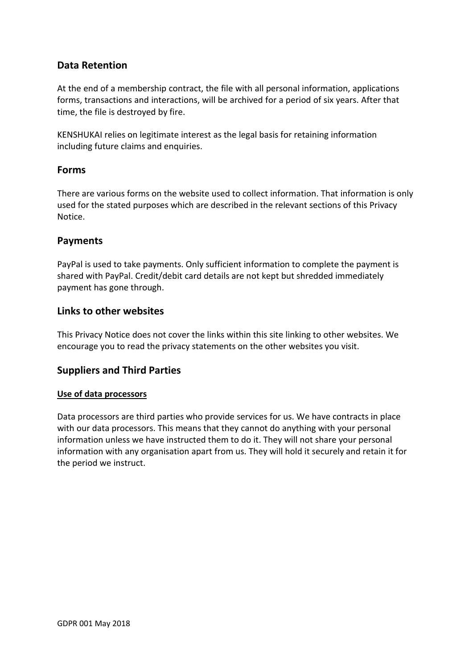# **Data Retention**

At the end of a membership contract, the file with all personal information, applications forms, transactions and interactions, will be archived for a period of six years. After that time, the file is destroyed by fire.

KENSHUKAI relies on legitimate interest as the legal basis for retaining information including future claims and enquiries.

## **Forms**

There are various forms on the website used to collect information. That information is only used for the stated purposes which are described in the relevant sections of this Privacy Notice.

## **Payments**

PayPal is used to take payments. Only sufficient information to complete the payment is shared with PayPal. Credit/debit card details are not kept but shredded immediately payment has gone through.

## **Links to other websites**

This Privacy Notice does not cover the links within this site linking to other websites. We encourage you to read the privacy statements on the other websites you visit.

# **Suppliers and Third Parties**

#### **Use of data processors**

Data processors are third parties who provide services for us. We have contracts in place with our data processors. This means that they cannot do anything with your personal information unless we have instructed them to do it. They will not share your personal information with any organisation apart from us. They will hold it securely and retain it for the period we instruct.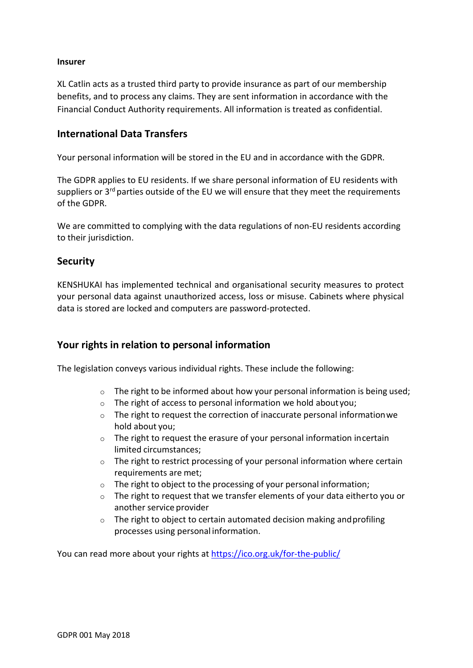#### **Insurer**

XL Catlin acts as a trusted third party to provide insurance as part of our membership benefits, and to process any claims. They are sent information in accordance with the Financial Conduct Authority requirements. All information is treated as confidential.

# **International Data Transfers**

Your personal information will be stored in the EU and in accordance with the GDPR.

The GDPR applies to EU residents. If we share personal information of EU residents with suppliers or  $3<sup>rd</sup>$  parties outside of the EU we will ensure that they meet the requirements of the GDPR.

We are committed to complying with the data regulations of non-EU residents according to their jurisdiction.

### **Security**

KENSHUKAI has implemented technical and organisational security measures to protect your personal data against unauthorized access, loss or misuse. Cabinets where physical data is stored are locked and computers are password-protected.

# **Your rights in relation to personal information**

The legislation conveys various individual rights. These include the following:

- $\circ$  The right to be informed about how your personal information is being used;
- o The right of access to personal information we hold about you;
- o The right to request the correction of inaccurate personal information we hold about you;
- o The right to request the erasure of your personal information in certain limited circumstances;
- $\circ$  The right to restrict processing of your personal information where certain requirements are met;
- o The right to object to the processing of your personal information;
- $\circ$  The right to request that we transfer elements of your data either to you or another service provider
- o The right to object to certain automated decision making and profiling processes using personal information.

You can read more about your rights at https://ico.org.uk/for-the-public/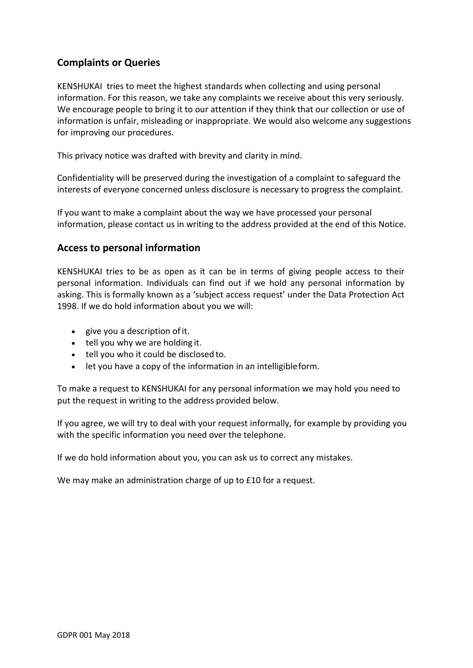# **Complaints or Queries**

KENSHUKAI tries to meet the highest standards when collecting and using personal information. For this reason, we take any complaints we receive about this very seriously. We encourage people to bring it to our attention if they think that our collection or use of information is unfair, misleading or inappropriate. We would also welcome any suggestions for improving our procedures.

This privacy notice was drafted with brevity and clarity in mind.

Confidentiality will be preserved during the investigation of a complaint to safeguard the interests of everyone concerned unless disclosure is necessary to progress the complaint.

If you want to make a complaint about the way we have processed your personal information, please contact us in writing to the address provided at the end of this Notice.

### **Access to personal information**

KENSHUKAI tries to be as open as it can be in terms of giving people access to their personal information. Individuals can find out if we hold any personal information by asking. This is formally known as a 'subject access request' under the Data Protection Act 1998. If we do hold information about you we will:

- give you a description of it.
- tell you why we are holding it.
- tell you who it could be disclosed to.
- let you have a copy of the information in an intelligible form.

To make a request to KENSHUKAI for any personal information we may hold you need to put the request in writing to the address provided below.

If you agree, we will try to deal with your request informally, for example by providing you with the specific information you need over the telephone.

If we do hold information about you, you can ask us to correct any mistakes.

We may make an administration charge of up to £10 for a request.